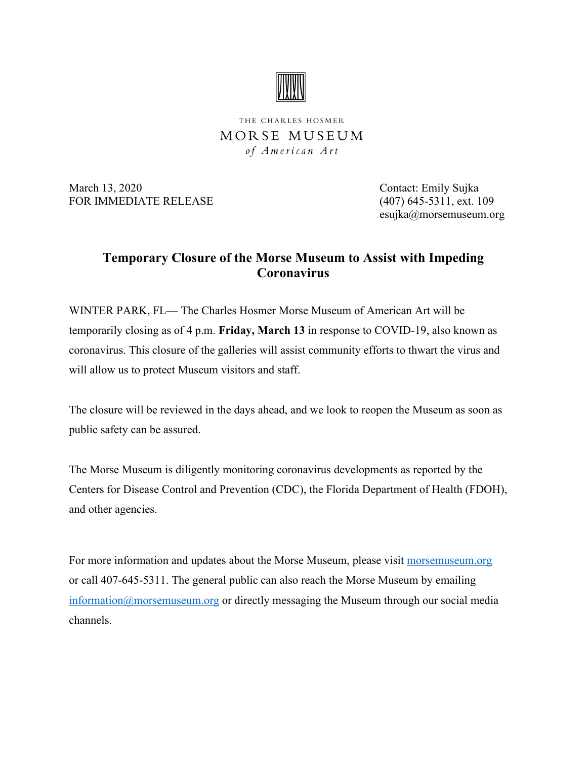

THE CHARLES HOSMER MORSE MUSEUM of American Art

March 13, 2020 Contact: Emily Sujka FOR IMMEDIATE RELEASE (407) 645-5311, ext. 109

esujka@morsemuseum.org

## **Temporary Closure of the Morse Museum to Assist with Impeding Coronavirus**

WINTER PARK, FL— The Charles Hosmer Morse Museum of American Art will be temporarily closing as of 4 p.m. **Friday, March 13** in response to COVID-19, also known as coronavirus. This closure of the galleries will assist community efforts to thwart the virus and will allow us to protect Museum visitors and staff.

The closure will be reviewed in the days ahead, and we look to reopen the Museum as soon as public safety can be assured.

The Morse Museum is diligently monitoring coronavirus developments as reported by the Centers for Disease Control and Prevention (CDC), the Florida Department of Health (FDOH), and other agencies.

For more information and updates about the Morse Museum, please visit [morsemuseum.org](http://www.morsemuseum.org/) or call 407-645-5311. The general public can also reach the Morse Museum by emailing [information@morsemuseum.org](mailto:information@morsemuseum.org) or directly messaging the Museum through our social media channels.